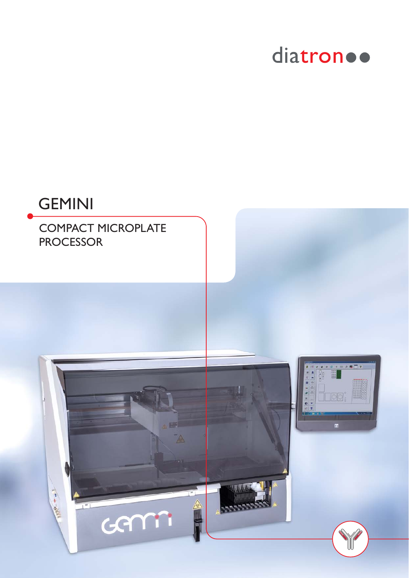### diatron ..

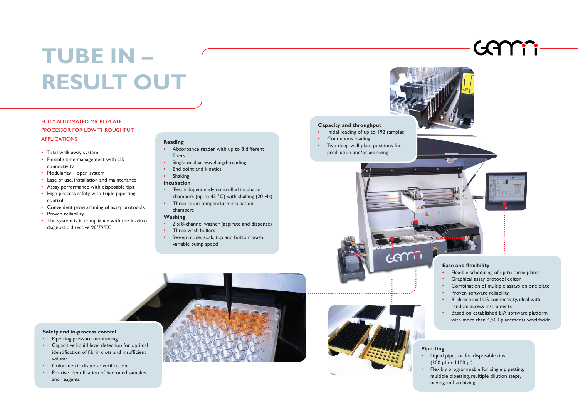# **TUBE IN – RESULT OUT**

#### FULLY AUTOMATED MICROPLATE PROCESSOR FOR LOW THROUGHPUT APPLICATIONS

- Total walk away system
- Flexible time management with LIS connectivity
- Modularity open system
- Ease of use, installation and maintenance
- Assay performance with disposable tips
- High process safety with triple pipetting control

- Convenient programming of assay protocols
- Proven reliability
- The system is in compliance with the In-vitro diagnostic directive 98/79/EC

- Flexible scheduling of up to three plates
- Graphical assay protocol editor
- Combination of multiple assays on one plate
- Proven software reliability
- Bi-directional LIS connectivity, ideal with random access instruments
- Based on established EIA software platform with more than 4,500 placements worldwide
- Liquid pipettor for disposable tips
- Flexibly programmable for single pipetting,
- multiple pipetting, multiple dilution steps,
- mixing and archiving

#### **Capacity and throughput**









- Initial loading of up to 192 samples
- 
- Two deep-well plate positions for predilution and/or archiving

- 2 x 8-channel washer (aspirate and dispense)
- Three wash buffers
- Sweep mode, soak, top and bottom wash, variable pump speed





### **Pipetting**

- (300 μl or 1100 μl)
- 





Genti

#### **Reading**

- Absorbance reader with up to 8 different filters
- Single or dual wavelength reading
- End point and kinetics

#### • Shaking

- **Incubation**
- Two independently controlled incubator chambers (up to 45 °C) with shaking (20 Hz)
- Three room temperature incubation chambers

#### **Washing**

**Safety and in-process control** • Pipetting pressure monitoring

• Capacitive liquid level detection for optimal identification of fibrin clots and insufficient

volume

• Colorimetric dispense verification

• Positive identification of barcoded samples

and reagents

#### **Ease and flexibility**